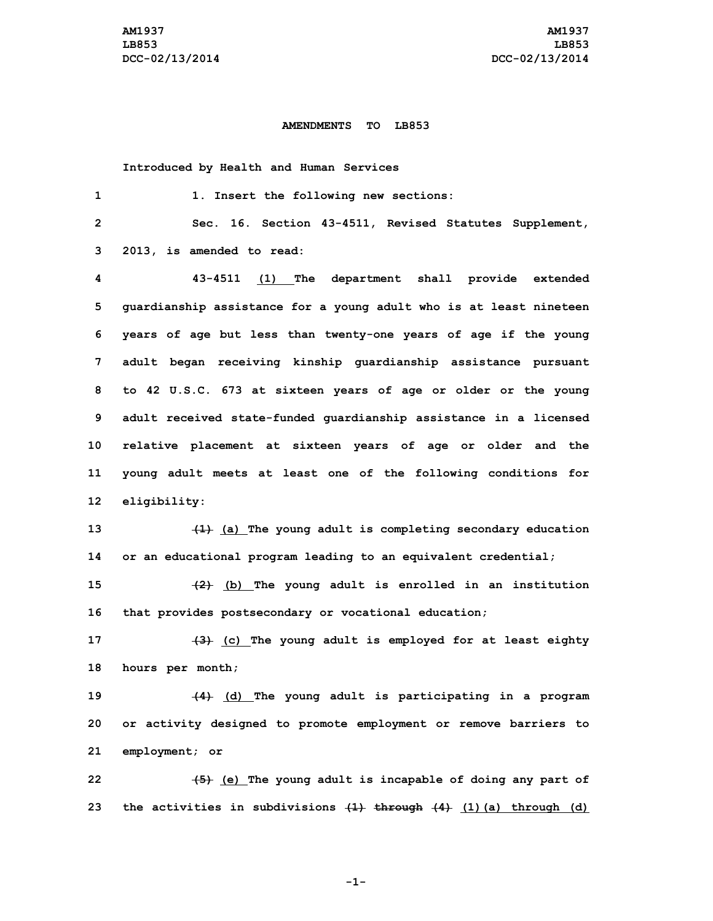## **AMENDMENTS TO LB853**

**Introduced by Health and Human Services**

| 1               | 1. Insert the following new sections:                                      |
|-----------------|----------------------------------------------------------------------------|
| $\overline{2}$  | Sec. 16. Section 43-4511, Revised Statutes Supplement,                     |
| 3               | 2013, is amended to read:                                                  |
| 4               | 43-4511 (1) The department shall provide extended                          |
| 5               | guardianship assistance for a young adult who is at least nineteen         |
| 6               | years of age but less than twenty-one years of age if the young            |
| $7\phantom{.}$  | adult began receiving kinship guardianship assistance pursuant             |
| 8               | to 42 U.S.C. 673 at sixteen years of age or older or the young             |
| 9               | adult received state-funded guardianship assistance in a licensed          |
| 10              | relative placement at sixteen years of age or older and the                |
| 11              | young adult meets at least one of the following conditions for             |
| 12 <sup>°</sup> | eligibility:                                                               |
| 13              | $(1)$ (a) The young adult is completing secondary education                |
| 14              | or an educational program leading to an equivalent credential;             |
| 15              | $(2)$ (b) The young adult is enrolled in an institution                    |
| 16              | that provides postsecondary or vocational education;                       |
| 17              | (c) The young adult is employed for at least eighty                        |
| 18              | hours per month;                                                           |
| 19              | (4) (d) The young adult is participating in a program                      |
| 20              | or activity designed to promote employment or remove barriers to           |
| 21              | employment; or                                                             |
| 22              | (e) The young adult is incapable of doing any part of                      |
| 23              | the activities in subdivisions $\{1\}$ through $\{4\}$ (1) (a) through (d) |

**-1-**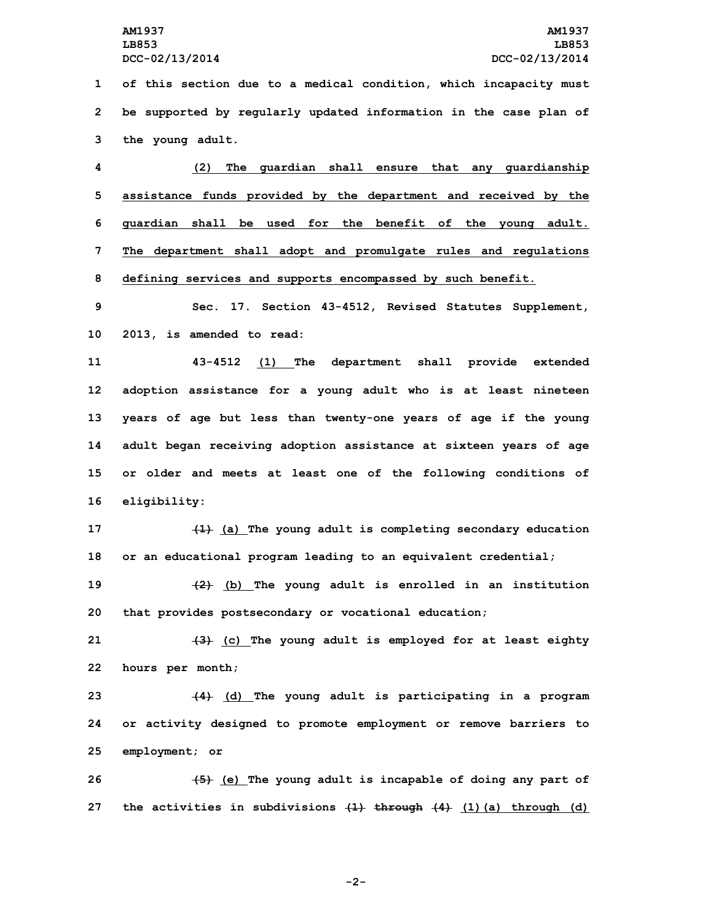**LB853 LB853**

**1 of this section due to <sup>a</sup> medical condition, which incapacity must 2 be supported by regularly updated information in the case plan of 3 the young adult.**

 **(2) The guardian shall ensure that any guardianship assistance funds provided by the department and received by the guardian shall be used for the benefit of the young adult. The department shall adopt and promulgate rules and regulations defining services and supports encompassed by such benefit.**

**9 Sec. 17. Section 43-4512, Revised Statutes Supplement, 10 2013, is amended to read:**

 **43-4512 (1) The department shall provide extended adoption assistance for <sup>a</sup> young adult who is at least nineteen years of age but less than twenty-one years of age if the young adult began receiving adoption assistance at sixteen years of age or older and meets at least one of the following conditions of eligibility:**

**17 (1) (a) The young adult is completing secondary education 18 or an educational program leading to an equivalent credential;**

**19 (2) (b) The young adult is enrolled in an institution 20 that provides postsecondary or vocational education;**

**21 (3) (c) The young adult is employed for at least eighty 22 hours per month;**

**23 (4) (d) The young adult is participating in <sup>a</sup> program 24 or activity designed to promote employment or remove barriers to 25 employment; or**

**26 (5) (e) The young adult is incapable of doing any part of 27 the activities in subdivisions (1) through (4) (1)(a) through (d)**

**-2-**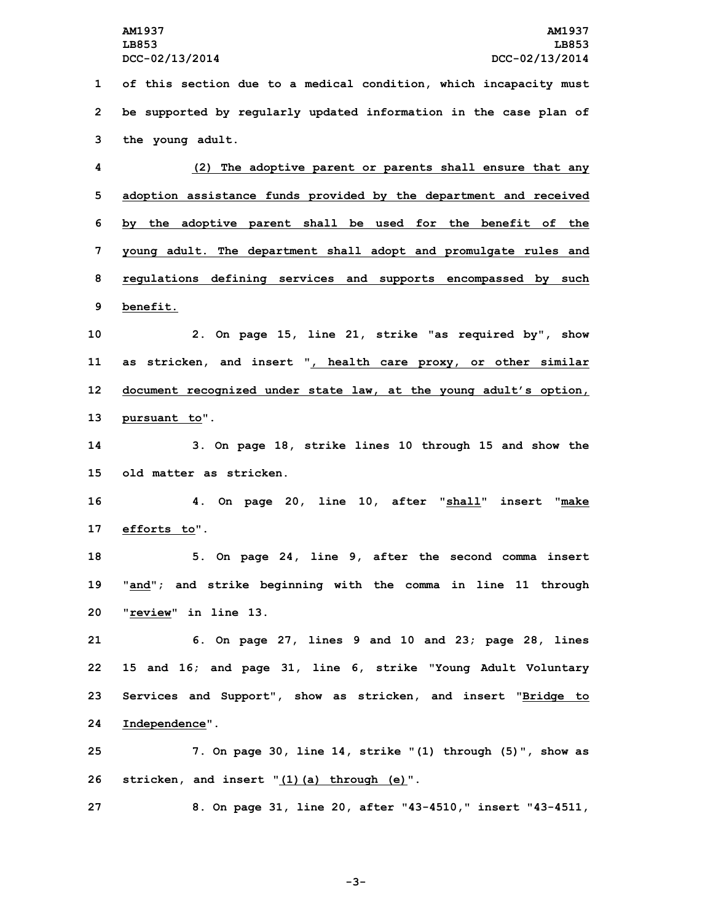**LB853 LB853**

**1 of this section due to <sup>a</sup> medical condition, which incapacity must 2 be supported by regularly updated information in the case plan of 3 the young adult.**

 **(2) The adoptive parent or parents shall ensure that any adoption assistance funds provided by the department and received by the adoptive parent shall be used for the benefit of the young adult. The department shall adopt and promulgate rules and regulations defining services and supports encompassed by such 9 benefit.**

 **2. On page 15, line 21, strike "as required by", show as stricken, and insert ", health care proxy, or other similar document recognized under state law, at the young adult's option, pursuant to".**

**14 3. On page 18, strike lines 10 through 15 and show the 15 old matter as stricken.**

**16 4. On page 20, line 10, after "shall" insert "make 17 efforts to".**

**18 5. On page 24, line 9, after the second comma insert 19 "and"; and strike beginning with the comma in line 11 through 20 "review" in line 13.**

 **6. On page 27, lines 9 and 10 and 23; page 28, lines 15 and 16; and page 31, line 6, strike "Young Adult Voluntary Services and Support", show as stricken, and insert "Bridge to Independence".**

**25 7. On page 30, line 14, strike "(1) through (5)", show as 26 stricken, and insert "(1)(a) through (e)".**

**27 8. On page 31, line 20, after "43-4510," insert "43-4511,**

**-3-**